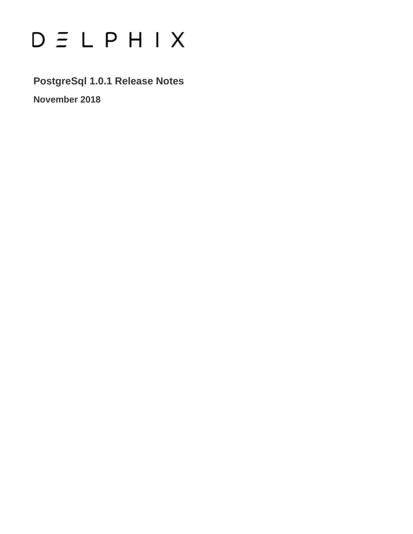# $D \subseteq L$   $P$   $H$   $I$   $X$

**PostgreSql 1.0.1 Release Notes**

**November 2018**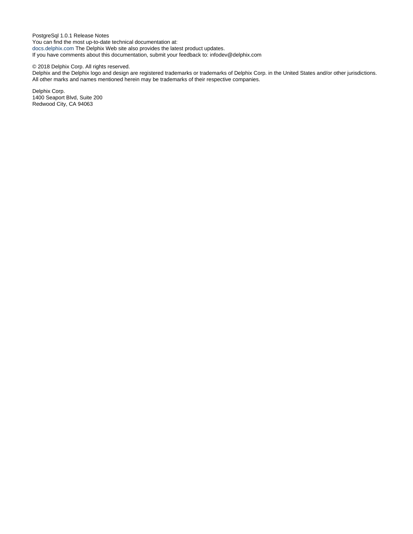PostgreSql 1.0.1 Release Notes You can find the most up-to-date technical documentation at: [docs.delphix.com](http://docs.delphix.com) The Delphix Web site also provides the latest product updates. If you have comments about this documentation, submit your feedback to: infodev@delphix.com

#### © 2018 Delphix Corp. All rights reserved.

Delphix and the Delphix logo and design are registered trademarks or trademarks of Delphix Corp. in the United States and/or other jurisdictions. All other marks and names mentioned herein may be trademarks of their respective companies.

Delphix Corp. 1400 Seaport Blvd, Suite 200 Redwood City, CA 94063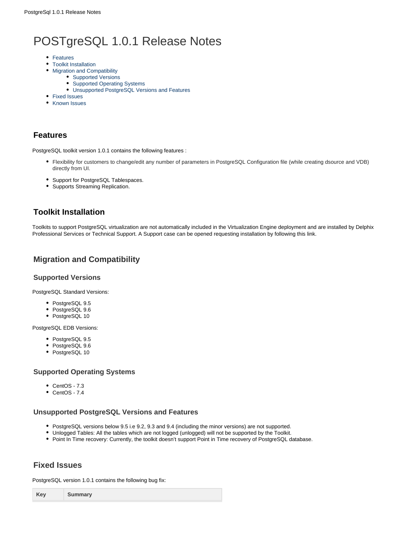# POSTgreSQL 1.0.1 Release Notes

- [Features](#page-2-0)
- [Toolkit Installation](#page-2-1)
- [Migration and Compatibility](#page-2-2)
	- [Supported Versions](#page-2-3)
	- [Supported Operating Systems](#page-2-4)
	- [Unsupported PostgreSQL Versions and Features](#page-2-5)
- [Fixed Issues](#page-2-6)
- [Known Issues](#page-3-0)

### <span id="page-2-0"></span>**Features**

PostgreSQL toolkit version 1.0.1 contains the following features :

- Flexibility for customers to change/edit any number of parameters in PostgreSQL Configuration file (while creating dsource and VDB) directly from UI.
- Support for PostgreSQL Tablespaces.
- Supports Streaming Replication.

# <span id="page-2-1"></span>**Toolkit Installation**

Toolkits to support PostgreSQL virtualization are not automatically included in the Virtualization Engine deployment and are installed by Delphix Professional Services or Technical Support. A Support case can be opened requesting installation by following this [link](http://support-tickets.delphix.com/).

# <span id="page-2-2"></span>**Migration and Compatibility**

#### <span id="page-2-3"></span>**Supported Versions**

PostgreSQL Standard Versions:

- PostgreSQL 9.5
- PostgreSQL 9.6
- PostgreSQL 10

PostgreSQL EDB Versions:

- PostgreSQL 9.5
- PostgreSQL 9.6
- PostgreSQL 10

#### <span id="page-2-4"></span>**Supported Operating Systems**

- CentOS 7.3
- $\bullet$  CentOS 7.4

#### <span id="page-2-5"></span>**Unsupported PostgreSQL Versions and Features**

- PostgreSQL versions below 9.5 i.e 9.2, 9.3 and 9.4 (including the minor versions) are not supported.
- Unlogged Tables: All the tables which are not logged (unlogged) will not be supported by the Toolkit.
- Point In Time recovery: Currently, the toolkit doesn't support Point in Time recovery of PostgreSQL database.

## <span id="page-2-6"></span>**Fixed Issues**

PostgreSQL version 1.0.1 contains the following bug fix:

|--|